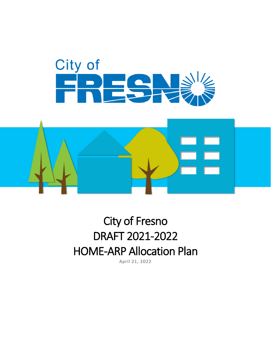



# City of Fresno DRAFT 2021-2022 HOME-ARP Allocation Plan

April 21, 2022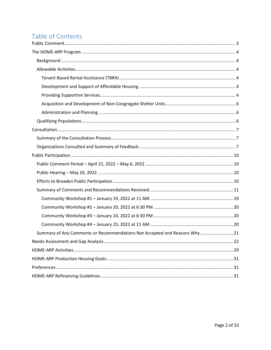# Table of Contents

| Summary of Any Comments or Recommendations Not Accepted and Reasons Why  21 |
|-----------------------------------------------------------------------------|
|                                                                             |
|                                                                             |
|                                                                             |
|                                                                             |
|                                                                             |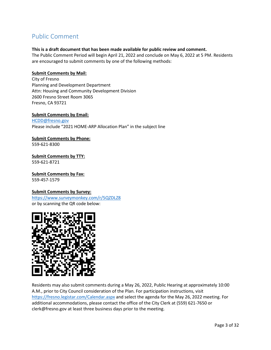# <span id="page-2-0"></span>Public Comment

#### **This is a draft document that has been made available for public review and comment.**

The Public Comment Period will begin April 21, 2022 and conclude on May 6, 2022 at 5 PM. Residents are encouraged to submit comments by one of the following methods:

#### **Submit Comments by Mail:**

City of Fresno Planning and Development Department Attn: Housing and Community Development Division 2600 Fresno Street Room 3065 Fresno, CA 93721

**Submit Comments by Email:** [HCDD@fresno.gov](mailto:HCDD@fresno.gov) Please include "2021 HOME-ARP Allocation Plan" in the subject line

**Submit Comments by Phone:** 559-621-8300

**Submit Comments by TTY:** 559-621-8721

**Submit Comments by Fax:** 559-457-1579

#### **Submit Comments by Survey:**

<https://www.surveymonkey.com/r/5QZDLZ8> or by scanning the QR code below:



Residents may also submit comments during a May 26, 2022, Public Hearing at approximately 10:00 A.M., prior to City Council consideration of the Plan. For participation instructions, visit <https://fresno.legistar.com/Calendar.aspx> and select the agenda for the May 26, 2022 meeting. For additional accommodations, please contact the office of the City Clerk at (559) 621-7650 or clerk@fresno.gov at least three business days prior to the meeting.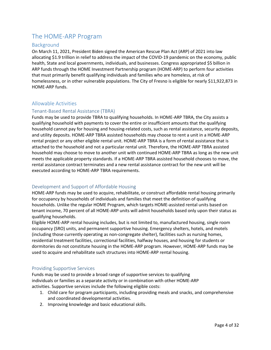# <span id="page-3-0"></span>The HOME-ARP Program

# <span id="page-3-1"></span>Background

On March 11, 2021, President Biden signed the American Rescue Plan Act (ARP) of 2021 into law allocating \$1.9 trillion in relief to address the impact of the COVID-19 pandemic on the economy, public health, State and local governments, individuals, and businesses. Congress appropriated \$5 billion in ARP funds through the HOME Investment Partnership program (HOME-ARP) to perform four activities that must primarily benefit qualifying individuals and families who are homeless, at risk of homelessness, or in other vulnerable populations. The City of Fresno is eligible for nearly \$11,922,873 in HOME-ARP funds.

# <span id="page-3-2"></span>Allowable Activities

# <span id="page-3-3"></span>Tenant-Based Rental Assistance (TBRA)

Funds may be used to provide TBRA to qualifying households. In HOME-ARP TBRA, the City assists a qualifying household with payments to cover the entire or insufficient amounts that the qualifying household cannot pay for housing and housing-related costs, such as rental assistance, security deposits, and utility deposits. HOME-ARP TBRA assisted households may choose to rent a unit in a HOME-ARP rental project or any other eligible rental unit. HOME-ARP TBRA is a form of rental assistance that is attached to the household and not a particular rental unit. Therefore, the HOME-ARP TBRA assisted household may choose to move to another unit with continued HOME-ARP TBRA as long as the new unit meets the applicable property standards. If a HOME-ARP TBRA assisted household chooses to move, the rental assistance contract terminates and a new rental assistance contract for the new unit will be executed according to HOME-ARP TBRA requirements.

# <span id="page-3-4"></span>Development and Support of Affordable Housing

HOME-ARP funds may be used to acquire, rehabilitate, or construct affordable rental housing primarily for occupancy by households of individuals and families that meet the definition of qualifying households. Unlike the regular HOME Program, which targets HOME-assisted rental units based on tenant income, 70 percent of all HOME-ARP units will admit households based only upon their status as qualifying households.

Eligible HOME-ARP rental housing includes, but is not limited to, manufactured housing, single room occupancy (SRO) units, and permanent supportive housing. Emergency shelters, hotels, and motels (including those currently operating as non-congregate shelter), facilities such as nursing homes, residential treatment facilities, correctional facilities, halfway houses, and housing for students or dormitories do not constitute housing in the HOME-ARP program. However, HOME-ARP funds may be used to acquire and rehabilitate such structures into HOME-ARP rental housing.

## <span id="page-3-5"></span>Providing Supportive Services

Funds may be used to provide a broad range of supportive services to qualifying individuals or families as a separate activity or in combination with other HOME-ARP activities. Supportive services include the following eligible costs:

- 1. Child care for program participants, including providing meals and snacks, and comprehensive and coordinated developmental activities.
- 2. Improving knowledge and basic educational skills.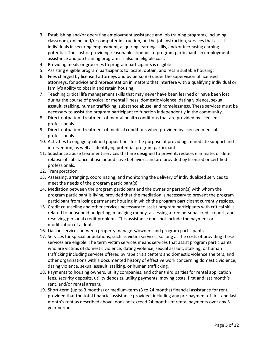- 3. Establishing and/or operating employment assistance and job training programs, including classroom, online and/or computer instruction, on-the-job instruction, services that assist individuals in securing employment, acquiring learning skills, and/or increasing earning potential. The cost of providing reasonable stipends to program participants in employment assistance and job training programs is also an eligible cost.
- 4. Providing meals or groceries to program participants is eligible
- 5. Assisting eligible program participants to locate, obtain, and retain suitable housing.
- 6. Fees charged by licensed attorneys and by person(s) under the supervision of licensed attorneys, for advice and representation in matters that interfere with a qualifying individual or family's ability to obtain and retain housing.
- 7. Teaching critical life management skills that may never have been learned or have been lost during the course of physical or mental illness, domestic violence, dating violence, sexual assault, stalking, human trafficking, substance abuse, and homelessness. These services must be necessary to assist the program participant to function independently in the community.
- 8. Direct outpatient treatment of mental health conditions that are provided by licensed professionals.
- 9. Direct outpatient treatment of medical conditions when provided by licensed medical professionals.
- 10. Activities to engage qualified populations for the purpose of providing immediate support and intervention, as well as identifying potential program participants.
- 11. Substance abuse treatment services that are designed to prevent, reduce, eliminate, or deter relapse of substance abuse or addictive behaviors and are provided by licensed or certified professionals.
- 12. Transportation.
- 13. Assessing, arranging, coordinating, and monitoring the delivery of individualized services to meet the needs of the program participant(s).
- 14. Mediation between the program participant and the owner or person(s) with whom the program participant is living, provided that the mediation is necessary to prevent the program participant from losing permanent housing in which the program participant currently resides.
- 15. Credit counseling and other services necessary to assist program participants with critical skills related to household budgeting, managing money, accessing a free personal credit report, and resolving personal credit problems. This assistance does not include the payment or modification of a debt.
- 16. Liaison services between property managers/owners and program participants.
- 17. Services for special populations, such as victim services, so long as the costs of providing these services are eligible. The term victim services means services that assist program participants who are victims of domestic violence, dating violence, sexual assault, stalking, or human trafficking including services offered by rape crisis centers and domestic violence shelters, and other organizations with a documented history of effective work concerning domestic violence, dating violence, sexual assault, stalking, or human trafficking.
- 18. Payments to housing owners, utility companies, and other third parties for rental application fees, security deposits, utility deposits, utility payments, moving costs, first and last month's rent, and/or rental arrears.
- 19. Short-term (up to 3 months) or medium-term (3 to 24 months) financial assistance for rent, provided that the total financial assistance provided, including any pre-payment of first and last month's rent as described above, does not exceed 24 months of rental payments over any 3 year period.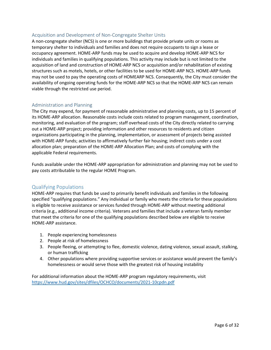# <span id="page-5-0"></span>Acquisition and Development of Non-Congregate Shelter Units

A non-congregate shelter (NCS) is one or more buildings that provide private units or rooms as temporary shelter to individuals and families and does not require occupants to sign a lease or occupancy agreement. HOME-ARP funds may be used to acquire and develop HOME-ARP NCS for individuals and families in qualifying populations. This activity may include but is not limited to the acquisition of land and construction of HOME-ARP NCS or acquisition and/or rehabilitation of existing structures such as motels, hotels, or other facilities to be used for HOME-ARP NCS. HOME-ARP funds may not be used to pay the operating costs of HOMEARP NCS. Consequently, the City must consider the availability of ongoing operating funds for the HOME-ARP NCS so that the HOME-ARP NCS can remain viable through the restricted use period.

# <span id="page-5-1"></span>Administration and Planning

The City may expend, for payment of reasonable administrative and planning costs, up to 15 percent of its HOME-ARP allocation. Reasonable costs include costs related to program management, coordination, monitoring, and evaluation of the program; staff overhead costs of the City directly related to carrying out a HOME-ARP project; providing information and other resources to residents and citizen organizations participating in the planning, implementation, or assessment of projects being assisted with HOME-ARP funds; activities to affirmatively further fair housing; indirect costs under a cost allocation plan; preparation of the HOME-ARP Allocation Plan; and costs of complying with the applicable Federal requirements.

Funds available under the HOME-ARP appropriation for administration and planning may not be used to pay costs attributable to the regular HOME Program.

# <span id="page-5-2"></span>Qualifying Populations

HOME-ARP requires that funds be used to primarily benefit individuals and families in the following specified "qualifying populations." Any individual or family who meets the criteria for these populations is eligible to receive assistance or services funded through HOME-ARP without meeting additional criteria (e.g., additional income criteria). Veterans and families that include a veteran family member that meet the criteria for one of the qualifying populations described below are eligible to receive HOME-ARP assistance.

- 1. People experiencing homelessness
- 2. People at risk of homelessness
- 3. People fleeing, or attempting to flee, domestic violence, dating violence, sexual assault, stalking, or human trafficking
- 4. Other populations where providing supportive services or assistance would prevent the family's homelessness or would serve those with the greatest risk of housing instability

For additional information about the HOME-ARP program regulatory requirements, visit <https://www.hud.gov/sites/dfiles/OCHCO/documents/2021-10cpdn.pdf>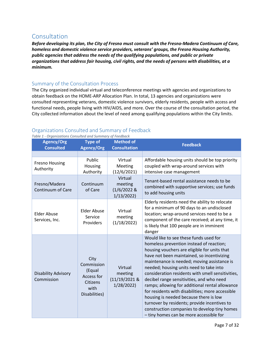# <span id="page-6-0"></span>Consultation

*Before developing its plan, the City of Fresno must consult with the Fresno-Madera Continuum of Care, homeless and domestic violence service providers, veterans' groups, the Fresno Housing Authority, public agencies that address the needs of the qualifying populations, and public or private organizations that address fair housing, civil rights, and the needs of persons with disabilities, at a minimum.* 

# <span id="page-6-1"></span>Summary of the Consultation Process

The City organized individual virtual and teleconference meetings with agencies and organizations to obtain feedback on the HOME-ARP Allocation Plan. In total, 13 agencies and organizations were consulted representing veterans, domestic violence survivors, elderly residents, people with access and functional needs, people living with HIV/AIDS, and more. Over the course of the consultation period, the City collected information about the level of need among qualifying populations within the City limits.

# <span id="page-6-2"></span>Organizations Consulted and Summary of Feedback

**Agency/Org Consulted Type of Agency/Org Method of Consultation Feedback** Fresno Housing Authority Public Housing Authority Virtual Meeting (12/6/2021) Affordable housing units should be top priority coupled with wrap-around services with intensive case management Fresno/Madera Continuum of Care Continuum of Care Virtual meeting (1/6/2022 & 1/13/2022) Tenant-based rental assistance needs to be combined with supportive services; use funds to add housing units Elder Abuse Services, Inc. Elder Abuse Service Providers Virtual meeting (1/18/2022) Elderly residents need the ability to relocate for a minimum of 90 days to an undisclosed location; wrap-around services need to be a component of the care received; at any time, it is likely that 100 people are in imminent danger Disability Advisory Commission City Commission (Equal Access for Citizens with Disabilities) Virtual meeting (11/19/2021 & 1/28/2022) Would like to see these funds used for homeless prevention instead of reaction; housing vouchers are eligible for units that have not been maintained, so incentivizing maintenance is needed; moving assistance is needed; housing units need to take into consideration residents with smell sensitivities, decibel range sensitivities, and who need ramps; allowing for additional rental allowance for residents with disabilities; more accessible housing is needed because there is low turnover by residents; provide incentives to construction companies to develop tiny homes – tiny homes can be more accessible for

*Table 1 - Organizations Consulted and Summary of Feedback*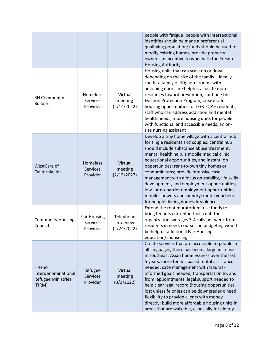|                                                                      |                                                    |                                       | people with fatigue; people with intersectional<br>identities should be made a preferential<br>qualifying population; funds should be used to<br>modify existing homes; provide property<br>owners an incentive to work with the Fresno<br><b>Housing Authority</b>                                                                                                                                                                                                                                                                                                                                |
|----------------------------------------------------------------------|----------------------------------------------------|---------------------------------------|----------------------------------------------------------------------------------------------------------------------------------------------------------------------------------------------------------------------------------------------------------------------------------------------------------------------------------------------------------------------------------------------------------------------------------------------------------------------------------------------------------------------------------------------------------------------------------------------------|
| <b>RH Community</b><br><b>Builders</b>                               | Homeless<br><b>Services</b><br>Provider            | Virtual<br>meeting<br>(2/14/2022)     | Housing units that can scale up or down<br>depending on the size of the family - ideally<br>can fit a family of 10; hotel rooms with<br>adjoining doors are helpful; allocate more<br>resources toward prevention; continue the<br>Eviction Protection Program; create safe<br>housing opportunities for LGBTQIA+ residents;<br>staff who can address addiction and mental<br>health needs; more housing units for people<br>with functional and accessible needs; an on-<br>site nursing assistant                                                                                                |
| WestCare of<br>California, Inc.                                      | <b>Homeless</b><br><b>Services</b><br>Provider     | Virtual<br>meeting<br>(2/15/2022)     | Develop a tiny home village with a central hub<br>for single residents and couples; central hub<br>should include substance abuse treatment,<br>mental health help, a mobile medical clinic,<br>educational opportunities, and instant job<br>opportunities; rent-to-own tiny homes or<br>condominiums; provide intensive case<br>management with a focus on stability, life skills<br>development, and employment opportunities;<br>low- or no-barrier employment opportunities;<br>mobile showers and laundry; motel vouchers<br>for people fleeing domestic violence                            |
| <b>Community Housing</b><br>Council                                  | <b>Fair Housing</b><br><b>Services</b><br>Provider | Telephone<br>interview<br>(2/24/2022) | Extend the rent moratorium; use funds to<br>bring tenants current in their rent; the<br>organization averages 3-4 calls per week from<br>residents in need; courses on budgeting would<br>be helpful; additional Fair Housing<br>education/counseling                                                                                                                                                                                                                                                                                                                                              |
| Fresno<br>Interdenominational<br><b>Refugee Ministries</b><br>(FIRM) | Refugee<br><b>Services</b><br>Provider             | Virtual<br>meeting<br>(3/1/2022)      | Create services that are accessible to people in<br>all languages; there has been a large increase<br>in southeast Asian homelessness over the last<br>5 years; more tenant-based rental assistance<br>needed; case management with trauma-<br>informed goals needed; transportation to, and<br>from, appointments; legal support needed to<br>help clear legal record (housing opportunities<br>lost unless felonies can be downgraded); need<br>flexibility to provide clients with money<br>directly; build more affordable housing units in<br>areas that are walkable, especially for elderly |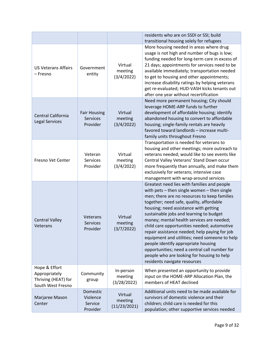|                                                                            |                                                    |                                     | residents who are on SSDI or SSI; build<br>transitional housing solely for refugees                                                                                                                                                                                                                                                                                                                                                                                                                                                                                                                                                            |
|----------------------------------------------------------------------------|----------------------------------------------------|-------------------------------------|------------------------------------------------------------------------------------------------------------------------------------------------------------------------------------------------------------------------------------------------------------------------------------------------------------------------------------------------------------------------------------------------------------------------------------------------------------------------------------------------------------------------------------------------------------------------------------------------------------------------------------------------|
| <b>US Veterans Affairs</b><br>– Fresno                                     | Government<br>entity                               | Virtual<br>meeting<br>(3/4/2022)    | More housing needed in areas where drug<br>usage is not high and number of bugs is low;<br>funding needed for long-term care in excess of<br>21 days; appointments for services need to be<br>available immediately; transportation needed<br>to get to housing and other appointments;<br>increase disability ratings by helping veterans<br>get re-evaluated; HUD-VASH kicks tenants out<br>after one year without recertification                                                                                                                                                                                                           |
| Central California<br><b>Legal Services</b>                                | <b>Fair Housing</b><br><b>Services</b><br>Provider | Virtual<br>meeting<br>(3/4/2022)    | Need more permanent housing; City should<br>leverage HOME-ARP funds to further<br>development of affordable housing; identify<br>abandoned housing to convert to affordable<br>housing; single-family rentals are heavily<br>favored toward landlords - increase multi-<br>family units throughout Fresno                                                                                                                                                                                                                                                                                                                                      |
| Fresno Vet Center                                                          | Veteran<br><b>Services</b><br>Provider             | Virtual<br>meeting<br>(3/4/2022)    | Transportation is needed for veterans to<br>housing and other meetings; more outreach to<br>veterans needed; would like to see events like<br>Central Valley Veterans' Stand Down occur<br>more frequently than annually, and make them<br>exclusively for veterans; intensive case<br>management with wrap-around services                                                                                                                                                                                                                                                                                                                    |
| <b>Central Valley</b><br>Veterans                                          | Veterans<br><b>Services</b><br>Provider            | Virtual<br>meeting<br>(3/7/2022)    | Greatest need lies with families and people<br>with pets - then single women - then single<br>men; there are no resources to keep families<br>together; need safe, quality, affordable<br>housing; need assistance with getting<br>sustainable jobs and learning to budget<br>money; mental health services are needed;<br>child care opportunities needed; automotive<br>repair assistance needed; help paying for job<br>equipment and utilities; need someone to help<br>people identify appropriate housing<br>opportunities; need a central call number for<br>people who are looking for housing to help<br>residents navigate resources |
| Hope & Effort<br>Appropriately<br>Thriving (HEAT) for<br>South West Fresno | Community<br>group                                 | In-person<br>meeting<br>(3/28/2022) | When presented an opportunity to provide<br>input on the HOME-ARP Allocation Plan, the<br>members of HEAT declined                                                                                                                                                                                                                                                                                                                                                                                                                                                                                                                             |
| Marjaree Mason<br>Center                                                   | Domestic<br>Violence<br>Service<br>Provider        | Virtual<br>meeting<br>(11/23/2021)  | Additional units need to be made available for<br>survivors of domestic violence and their<br>children; child care is needed for this<br>population; other supportive services needed                                                                                                                                                                                                                                                                                                                                                                                                                                                          |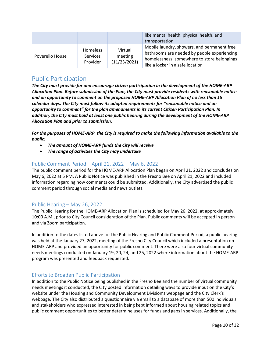|                 |                                                |                                    | like mental health, physical health, and<br>transportation                                                                                                                    |
|-----------------|------------------------------------------------|------------------------------------|-------------------------------------------------------------------------------------------------------------------------------------------------------------------------------|
| Poverello House | <b>Homeless</b><br><b>Services</b><br>Provider | Virtual<br>meeting<br>(11/23/2021) | Mobile laundry, showers, and permanent free<br>bathrooms are needed by people experiencing<br>homelessness; somewhere to store belongings<br>like a locker in a safe location |

# <span id="page-9-0"></span>Public Participation

*The City must provide for and encourage citizen participation in the development of the HOME-ARP Allocation Plan. Before submission of the Plan, the City must provide residents with reasonable notice and an opportunity to comment on the proposed HOME-ARP Allocation Plan of no less than 15 calendar days. The City must follow its adopted requirements for "reasonable notice and an opportunity to comment" for the plan amendments in its current Citizen Participation Plan. In addition, the City must hold at least one public hearing during the development of the HOME-ARP Allocation Plan and prior to submission.*

*For the purposes of HOME-ARP, the City is required to make the following information available to the public:*

- *The amount of HOME-ARP funds the City will receive*
- *The range of activities the City may undertake*

# <span id="page-9-1"></span>Public Comment Period – April 21, 2022 – May 6, 2022

The public comment period for the HOME-ARP Allocation Plan began on April 21, 2022 and concludes on May 6, 2022 at 5 PM. A Public Notice was published in the Fresno Bee on April 21, 2022 and included information regarding how comments could be submitted. Additionally, the City advertised the public comment period through social media and news outlets.

# <span id="page-9-2"></span>Public Hearing – May 26, 2022

The Public Hearing for the HOME-ARP Allocation Plan is scheduled for May 26, 2022, at approximately 10:00 A.M., prior to City Council consideration of the Plan. Public comments will be accepted in person and via Zoom participation.

In addition to the dates listed above for the Public Hearing and Public Comment Period, a public hearing was held at the January 27, 2022, meeting of the Fresno City Council which included a presentation on HOME-ARP and provided an opportunity for public comment. There were also four virtual community needs meetings conducted on January 19, 20, 24, and 25, 2022 where information about the HOME-ARP program was presented and feedback requested.

# <span id="page-9-3"></span>Efforts to Broaden Public Participation

In addition to the Public Notice being published in the Fresno Bee and the number of virtual community needs meetings it conducted, the City posted information detailing ways to provide input on the City's website under the Housing and Community Development Division's webpage and the City Clerk's webpage. The City also distributed a questionnaire via email to a database of more than 500 individuals and stakeholders who expressed interested in being kept informed about housing related topics and public comment opportunities to better determine uses for funds and gaps in services. Additionally, the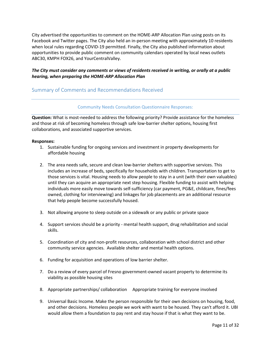City advertised the opportunities to comment on the HOME-ARP Allocation Plan using posts on its Facebook and Twitter pages. The City also held an in-person meeting with approximately 10 residents when local rules regarding COVID-19 permitted. Finally, the City also published information about opportunities to provide public comment on community calendars operated by local news outlets ABC30, KMPH FOX26, and YourCentralValley.

# *The City must consider any comments or views of residents received in writing, or orally at a public hearing, when preparing the HOME-ARP Allocation Plan*

# <span id="page-10-0"></span>Summary of Comments and Recommendations Received

#### Community Needs Consultation Questionnaire Responses:

**Question:** What is most-needed to address the following priority? Provide assistance for the homeless and those at risk of becoming homeless through safe low-barrier shelter options, housing first collaborations, and associated supportive services.

- 1. Sustainable funding for ongoing services and investment in property developments for affordable housing
- 2. The area needs safe, secure and clean low-barrier shelters with supportive services. This includes an increase of beds, specifically for households with children. Transportation to get to those services is vital. Housing needs to allow people to stay in a unit (with their own valuables) until they can acquire an appropriate next step housing. Flexible funding to assist with helping individuals more easily move towards self-sufficiency (car payment, PG&E, childcare, fines/fees owned, clothing for interviewing) and linkages for job placements are an additional resource that help people become successfully housed.
- 3. Not allowing anyone to sleep outside on a sidewalk or any public or private space
- 4. Support services should be a priority mental health support, drug rehabilitation and social skills.
- 5. Coordination of city and non-profit resources, collaboration with school district and other community service agencies. Available shelter and mental health options.
- 6. Funding for acquisition and operations of low barrier shelter.
- 7. Do a review of every parcel of Fresno government-owned vacant property to determine its viability as possible housing sites
- 8. Appropriate partnerships/ collaboration Appropriate training for everyone involved
- 9. Universal Basic Income. Make the person responsible for their own decisions on housing, food, and other decisions. Homeless people we work with want to be housed. They can't afford it. UBI would allow them a foundation to pay rent and stay house if that is what they want to be.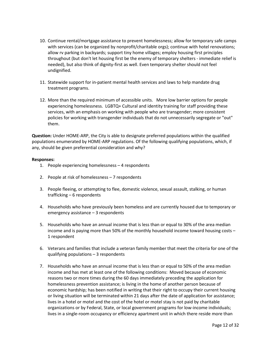- 10. Continue rental/mortgage assistance to prevent homelessness; allow for temporary safe camps with services (can be organized by nonprofit/charitable orgs); continue with hotel renovations; allow rv parking in backyards; support tiny home villages; employ housing first principles throughout (but don't let housing first be the enemy of temporary shelters - immediate relief is needed), but also think of dignity-first as well. Even temporary shelter should not feel undignified.
- 11. Statewide support for in-patient mental health services and laws to help mandate drug treatment programs.
- 12. More than the required minimum of accessible units. More low barrier options for people experiencing homelessness. LGBTQ+ Cultural and identity training for staff providing these services, with an emphasis on working with people who are transgender; more consistent policies for working with transgender individuals that do not unnecessarily segregate or "out" them.

**Question:** Under HOME-ARP, the City is able to designate preferred populations within the qualified populations enumerated by HOME-ARP regulations. Of the following qualifying populations, which, if any, should be given preferential consideration and why?

- 1. People experiencing homelessness 4 respondents
- 2. People at risk of homelessness 7 respondents
- 3. People fleeing, or attempting to flee, domestic violence, sexual assault, stalking, or human trafficking – 6 respondents
- 4. Households who have previously been homeless and are currently housed due to temporary or emergency assistance – 3 respondents
- 5. Households who have an annual income that is less than or equal to 30% of the area median income and is paying more than 50% of the monthly household income toward housing costs – 1 respondent
- 6. Veterans and families that include a veteran family member that meet the criteria for one of the qualifying populations – 3 respondents
- 7. Households who have an annual income that is less than or equal to 50% of the area median income and has met at least one of the following conditions: Moved because of economic reasons two or more times during the 60 days immediately preceding the application for homelessness prevention assistance; is living in the home of another person because of economic hardship; has been notified in writing that their right to occupy their current housing or living situation will be terminated within 21 days after the date of application for assistance; lives in a hotel or motel and the cost of the hotel or motel stay is not paid by charitable organizations or by Federal, State, or local government programs for low-income individuals; lives in a single-room occupancy or efficiency apartment unit in which there reside more than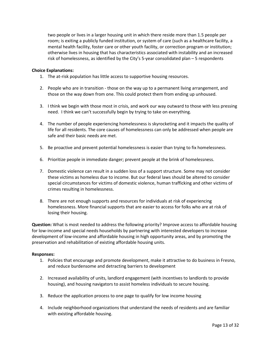two people or lives in a larger housing unit in which there reside more than 1.5 people per room; is exiting a publicly funded institution, or system of care (such as a healthcare facility, a mental health facility, foster care or other youth facility, or correction program or institution; otherwise lives in housing that has characteristics associated with instability and an increased risk of homelessness, as identified by the City's 5-year consolidated plan – 5 respondents

#### **Choice Explanations:**

- 1. The at-risk population has little access to supportive housing resources.
- 2. People who are in transition those on the way up to a permanent living arrangement, and those on the way down from one. This could protect them from ending up unhoused.
- 3. I think we begin with those most in crisis, and work our way outward to those with less pressing need. I think we can't successfully begin by trying to take on everything.
- 4. The number of people experiencing homelessness is skyrocketing and it impacts the quality of life for all residents. The core causes of homelessness can only be addressed when people are safe and their basic needs are met.
- 5. Be proactive and prevent potential homelessness is easier than trying to fix homelessness.
- 6. Prioritize people in immediate danger; prevent people at the brink of homelessness.
- 7. Domestic violence can result in a sudden loss of a support structure. Some may not consider these victims as homeless due to income. But our federal laws should be altered to consider special circumstances for victims of domestic violence, human trafficking and other victims of crimes resulting in homelessness.
- 8. There are not enough supports and resources for individuals at risk of experiencing homelessness. More financial supports that are easier to access for folks who are at risk of losing their housing.

**Question:** What is most needed to address the following priority? Improve access to affordable housing for low-income and special needs households by partnering with interested developers to increase development of low-income and affordable housing in high opportunity areas, and by promoting the preservation and rehabilitation of existing affordable housing units.

- 1. Policies that encourage and promote development, make it attractive to do business in Fresno, and reduce burdensome and detracting barriers to development
- 2. Increased availability of units, landlord engagement (with incentives to landlords to provide housing), and housing navigators to assist homeless individuals to secure housing.
- 3. Reduce the application process to one page to qualify for low income housing
- 4. Include neighborhood organizations that understand the needs of residents and are familiar with existing affordable housing.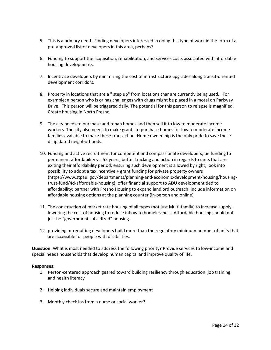- 5. This is a primary need. Finding developers interested in doing this type of work in the form of a pre-approved list of developers in this area, perhaps?
- 6. Funding to support the acquisition, rehabilitation, and services costs associated with affordable housing developments.
- 7. Incentivize developers by minimizing the cost of infrastructure upgrades along transit-oriented development corridors.
- 8. Property in locations that are a " step up" from locations thar are currently being used. For example; a person who is or has challenges with drugs might be placed in a motel on Parkway Drive. This person will be triggered daily. The potential for this person to relapse is magnified. Create housing in North Fresno
- 9. The city needs to purchase and rehab homes and then sell it to low to moderate income workers. The city also needs to make grants to purchase homes for low to moderate income families available to make these transaction. Home ownership is the only pride to save these dilapidated neighborhoods.
- 10. Funding and active recruitment for competent and compassionate developers; tie funding to permanent affordability vs. 55 years; better tracking and action in regards to units that are exiting their affordability period; ensuring such development is allowed by right; look into possibility to adopt a tax incentive + grant funding for private property owners (https://www.stpaul.gov/departments/planning-and-economic-development/housing/housingtrust-fund/4d-affordable-housing); offer financial support to ADU development tied to affordability; partner with Fresno Housing to expand landlord outreach; include information on affordable housing options at the planning counter (in-person and online).
- 11. The construction of market rate housing of all types (not just Multi-family) to increase supply, lowering the cost of housing to reduce inflow to homelessness. Affordable housing should not just be "government subsidized" housing.
- 12. providing or requiring developers build more than the regulatory minimum number of units that are accessible for people with disabilities.

**Question:** What is most needed to address the following priority? Provide services to low‐income and special needs households that develop human capital and improve quality of life.

- 1. Person-centered approach geared toward building resiliency through education, job training, and health literacy
- 2. Helping individuals secure and maintain employment
- 3. Monthly check ins from a nurse or social worker?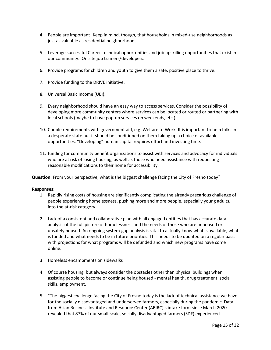- 4. People are important! Keep in mind, though, that households in mixed-use neighborhoods as just as valuable as residential neighborhoods.
- 5. Leverage successful Career-technical opportunities and job upskilling opportunities that exist in our community. On site job trainers/developers.
- 6. Provide programs for children and youth to give them a safe, positive place to thrive.
- 7. Provide funding to the DRIVE initiative.
- 8. Universal Basic Income (UBI).
- 9. Every neighborhood should have an easy way to access services. Consider the possibility of developing more community centers where services can be located or routed or partnering with local schools (maybe to have pop-up services on weekends, etc.).
- 10. Couple requirements with government aid, e.g. Welfare to Work. It is important to help folks in a desperate state but it should be conditioned on them taking up a choice of available opportunities. "Developing" human capital requires effort and investing time.
- 11. funding for community benefit organizations to assist with services and advocacy for individuals who are at risk of losing housing, as well as those who need assistance with requesting reasonable modifications to their home for accessibility.

**Question:** From your perspective, what is the biggest challenge facing the City of Fresno today?

- 1. Rapidly rising costs of housing are significantly complicating the already precarious challenge of people experiencing homelessness, pushing more and more people, especially young adults, into the at-risk category.
- 2. Lack of a consistent and collaborative plan with all engaged entities that has accurate data analysis of the full picture of homelessness and the needs of those who are unhoused or unsafely housed. An ongoing system-gap analysis is vital to actually know what is available, what is funded and what needs to be in future priorities. This needs to be updated on a regular basis with projections for what programs will be defunded and which new programs have come online.
- 3. Homeless encampments on sidewalks
- 4. Of course housing, but always consider the obstacles other than physical buildings when assisting people to become or continue being housed - mental health, drug treatment, social skills, employment.
- 5. "The biggest challenge facing the City of Fresno today is the lack of technical assistance we have for the socially disadvantaged and underserved farmers, especially during the pandemic. Data from Asian Business Institute and Resource Center (ABIRC)'s intake form since March 2020 revealed that 87% of our small-scale, socially disadvantaged farmers (SDF) experienced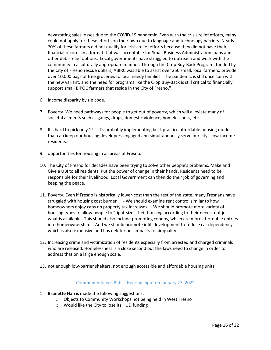devastating sales losses due to the COVID-19 pandemic. Even with the crisis relief efforts, many could not apply for these efforts on their own due to language and technology barriers. Nearly 70% of these farmers did not qualify for crisis relief efforts because they did not have their financial records in a format that was acceptable for Small Business Administration loans and other debt-relief options. Local governments have struggled to outreach and work with the community in a culturally appropriate manner. Through the Crop Buy-Back Program, funded by the City of Fresno rescue dollars, ABIRC was able to assist over 250 small, local farmers, provide over 10,000 bags of free groceries to local needy families. The pandemic is still uncertain with the new variant, and the need for programs like the Crop Buy-Back is still critical to financially support small BIPOC farmers that reside in the City of Fresno."

- 6. Income disparity by zip code.
- 7. Poverty. We need pathways for people to get out of poverty, which will alleviate many of societal ailments such as gangs, drugs, domestic violence, homelessness, etc.
- 8. It's hard to pick only 1! It's probably implementing best-practice affordable housing models that can keep our housing developers engaged and simultaneously serve our city's low-income residents.
- 9. opportunities for housing in all areas of Fresno.
- 10. The City of Fresno for decades have been trying to solve other people's problems. Make and Give a UBI to all residents. Put the power of change in their hands. Residents need to be responsible for their livelihood. Local Government can then do their job of governing and keeping the peace.
- 11. Poverty. Even if Fresno is historically lower-cost than the rest of the state, many Fresnans have struggled with housing cost burden. - We should examine rent control similar to how homeowners enjoy caps on property tax increases. - We should promote more variety of housing types to allow people to "right-size" their housing according to their needs, not just what is available. This should also include promoting condos, which are more affordable entries into homeownership. - And we should promote infill development to reduce car dependency, which is also expensive and has deleterious impacts to air quality.
- 12. Increasing crime and victimization of residents especially from arrested and charged criminals who are released. Homelessness is a close second but the laws need to change in order to address that on a large enough scale.
- 13. not enough low-barrier shelters, not enough accessible and affordable housing units

#### Community Needs Public Hearing Input on January 27, 2022

- 1. **Brunette Harris** made the following suggestions:
	- o Objects to Community Workshops not being held in West Fresno
	- o Would like the City to lose its HUD funding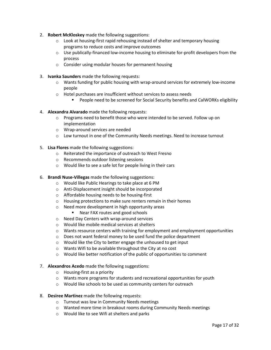- 2. **Robert McKloskey** made the following suggestions:
	- o Look at housing-first rapid rehousing instead of shelter and temporary housing programs to reduce costs and improve outcomes
	- o Use publically-financed low-income housing to eliminate for-profit developers from the process
	- o Consider using modular houses for permanent housing
- 3. **Ivanka Saunders** made the following requests:
	- o Wants funding for public housing with wrap-around services for extremely low-income people
	- o Hotel purchases are insufficient without services to assess needs
		- People need to be screened for Social Security benefits and CalWORKs eligibility
- 4. **Alexandra Alvarado** made the following requests:
	- $\circ$  Programs need to benefit those who were intended to be served. Follow up on implementation
	- o Wrap-around services are needed
	- o Low turnout in one of the Community Needs meetings. Need to increase turnout
- 5. **Lisa Flores** made the following suggestions:
	- o Reiterated the importance of outreach to West Fresno
	- o Recommends outdoor listening sessions
	- o Would like to see a safe lot for people living in their cars
- 6. **Brandi Nuse-Villegas** made the following suggestions:
	- o Would like Public Hearings to take place at 6 PM
	- o Anti-Displacement insight should be incorporated
	- o Affordable housing needs to be housing-first
	- o Housing protections to make sure renters remain in their homes
	- o Need more development in high opportunity areas
		- Near FAX routes and good schools
	- o Need Day Centers with wrap-around services
	- o Would like mobile medical services at shelters
	- $\circ$  Wants resource centers with training for employment and employment opportunities
	- o Does not want federal money to be used fund the police department
	- o Would like the City to better engage the unhoused to get input
	- o Wants Wifi to be available throughout the City at no cost
	- $\circ$  Would like better notification of the public of opportunities to comment
- 7. **Alexandros Acedo** made the following suggestions:
	- o Housing-first as a priority
	- $\circ$  Wants more programs for students and recreational opportunities for youth
	- o Would like schools to be used as community centers for outreach
- 8. **Desiree Martinez** made the following requests:
	- o Turnout was low in Community Needs meetings
	- o Wanted more time in breakout rooms during Community Needs meetings
	- o Would like to see Wifi at shelters and parks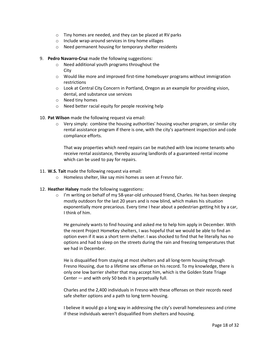- o Tiny homes are needed, and they can be placed at RV parks
- o Include wrap-around services in tiny home villages
- o Need permanent housing for temporary shelter residents
- 9. **Pedro Navarro-Cruz** made the following suggestions:
	- o Need additional youth programs throughout the City
	- o Would like more and improved first-time homebuyer programs without immigration restrictions
	- o Look at Central City Concern in Portland, Oregon as an example for providing vision, dental, and substance use services
	- o Need tiny homes
	- o Need better racial equity for people receiving help
- 10. **Pat Wilson** made the following request via email:
	- $\circ$  Very simply: combine the housing authorities' housing voucher program, or similar city rental assistance program if there is one, with the city's apartment inspection and code compliance efforts.

That way properties which need repairs can be matched with low income tenants who receive rental assistance, thereby assuring landlords of a guaranteed rental income which can be used to pay for repairs.

- 11. **W.S. Tait** made the following request via email:
	- o Homeless shelter, like say mini homes as seen at Fresno fair.
- 12. **Heather Halsey** made the following suggestions:
	- $\circ$  I'm writing on behalf of my 58-year-old unhoused friend, Charles. He has been sleeping mostly outdoors for the last 20 years and is now blind, which makes his situation exponentially more precarious. Every time I hear about a pedestrian getting hit by a car, I think of him.

He genuinely wants to find housing and asked me to help him apply in December. With the recent Project HomeKey shelters, I was hopeful that we would be able to find an option even if it was a short term shelter. I was shocked to find that he literally has no options and had to sleep on the streets during the rain and freezing temperatures that we had in December.

He is disqualified from staying at most shelters and all long-term housing through Fresno Housing, due to a lifetime sex offense on his record. To my knowledge, there is only one low barrier shelter that may accept him, which is the Golden State Triage Center — and with only 50 beds it is perpetually full.

Charles and the 2,400 individuals in Fresno with these offenses on their records need safe shelter options and a path to long term housing.

I believe it would go a long way in addressing the city's overall homelessness and crime if these individuals weren't disqualified from shelters and housing.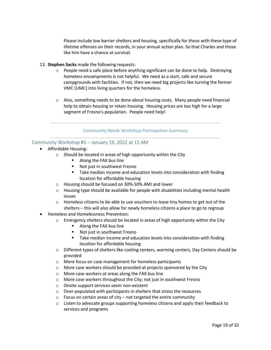Please include low barrier shelters and housing, specifically for those with these type of lifetime offenses on their records, in your annual action plan. So that Charles and those like him have a chance at survival.

- 13. **Stephen Sacks** made the following requests:
	- o People need a safe place before anything significant can be done to help. Destroying homeless encampments is not helpful. We need as a start, safe and secure campgrounds with facilities. If not, then we need big projects like turning the former VMC (UMC) into living quarters for the homeless.
	- $\circ$  Also, something needs to be done about housing costs. Many people need financial help to obtain housing or retain housing. Housing prices are too high for a large segment of Fresno's population. People need help!

Community Needs Workshop Participation Summary

# <span id="page-18-0"></span>Community Workshop #1 – January 19, 2022 at 11 AM

- Affordable Housing:
	- o Should be located in areas of high opportunity within the City
		- Along the FAX bus line
		- Not just in southwest Fresno
		- **Take median income and education levels into consideration with finding** location for affordable housing
	- o Housing should be focused on 30%-50% AMI and lower
	- $\circ$  Housing type should be available for people with disabilities including mental health issues
	- $\circ$  Homeless citizens to be able to use vouchers to lease tiny homes to get out of the shelters – this will also allow for newly homeless citizens a place to go to regroup
- Homeless and Homelessness Prevention:
	- $\circ$  Emergency shelters should be located in areas of high opportunity within the City
		- Along the FAX bus line
		- Not just in southwest Fresno
		- **Take median income and education levels into consideration with finding** location for affordable housing
	- $\circ$  Different types of shelters like cooling centers, warming centers, Day Centers should be provided
	- o More focus on case management for homeless participants
	- o More case workers should be provided at projects sponsored by the City
	- o More case workers at areas along the FAX bus line
	- o More case workers throughout the City; not just in southwest Fresno
	- o Onsite support services seem non-existent
	- o Over-populated with participants in shelters that stress the resources
	- $\circ$  Focus on certain areas of city not targeted the entire community
	- $\circ$  Listen to advocate groups supporting homeless citizens and apply their feedback to services and programs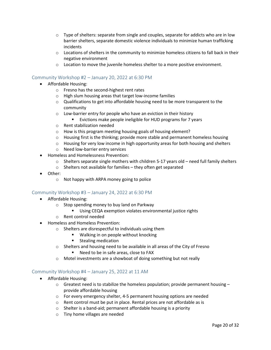- $\circ$  Type of shelters: separate from single and couples, separate for addicts who are in low barrier shelters, separate domestic violence individuals to minimize human trafficking incidents
- $\circ$  Locations of shelters in the community to minimize homeless citizens to fall back in their negative environment
- $\circ$  Location to move the juvenile homeless shelter to a more positive environment.

# <span id="page-19-0"></span>Community Workshop #2 – January 20, 2022 at 6:30 PM

- Affordable Housing:
	- o Fresno has the second-highest rent rates
	- o High slum housing areas that target low-income families
	- $\circ$  Qualifications to get into affordable housing need to be more transparent to the community
	- o Low-barrier entry for people who have an eviction in their history
		- **EXICT** Evictions make people ineligible for HUD programs for 7 years
	- o Rent stabilization needed
	- o How is this program meeting housing goals of housing element?
	- $\circ$  Housing first is the thinking; provide more stable and permanent homeless housing
	- $\circ$  Housing for very low income in high opportunity areas for both housing and shelters
	- o Need low-barrier entry services
- Homeless and Homelessness Prevention:
	- $\circ$  Shelters separate single mothers with children 5-17 years old need full family shelters
	- o Shelters not available for families they often get separated
- Other:
	- o Not happy with ARPA money going to police

## <span id="page-19-1"></span>Community Workshop #3 – January 24, 2022 at 6:30 PM

- Affordable Housing:
	- o Stop spending money to buy land on Parkway
		- Using CEQA exemption violates environmental justice rights
	- o Rent control needed
- Homeless and Homeless Prevention:
	- o Shelters are disrespectful to individuals using them
		- Walking in on people without knocking
		- **Stealing medication**
	- o Shelters and housing need to be available in all areas of the City of Fresno
		- Need to be in safe areas, close to FAX
	- o Motel investments are a showboat of doing something but not really

#### <span id="page-19-2"></span>Community Workshop #4 – January 25, 2022 at 11 AM

- Affordable Housing:
	- $\circ$  Greatest need is to stabilize the homeless population; provide permanent housing provide affordable housing
	- o For every emergency shelter, 4-5 permanent housing options are needed
	- o Rent control must be put in place. Rental prices are not affordable as is
	- o Shelter is a band-aid; permanent affordable housing is a priority
	- o Tiny home villages are needed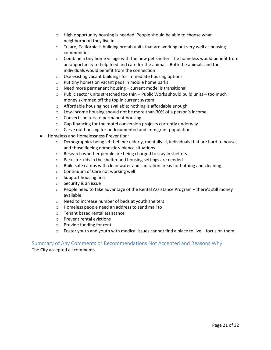- o High opportunity housing is needed. People should be able to choose what neighborhood they live in
- $\circ$  Tulare, California is building prefab units that are working out very well as housing communities
- $\circ$  Combine a tiny home village with the new pet shelter. The homeless would benefit from an opportunity to help feed and care for the animals. Both the animals and the individuals would benefit from the connection
- o Use existing vacant buildings for immediate housing options
- o Put tiny homes on vacant pads in mobile home parks
- o Need more permanent housing current model is transitional
- $\circ$  Public sector units stretched too thin Public Works should build units too much money skimmed off the top in current system
- o Affordable housing not available; nothing is affordable enough
- o Low-income housing should not be more than 30% of a person's income
- o Convert shelters to permanent housing
- o Gap financing for the motel conversion projects currently underway
- o Carve out housing for undocumented and immigrant populations
- Homeless and Homelessness Prevention:
	- $\circ$  Demographics being left behind: elderly, mentally ill, individuals that are hard to house, and those fleeing domestic violence situations
	- o Research whether people are being charged to stay in shelters
	- o Parks for kids in the shelter and housing settings are needed
	- $\circ$  Build safe camps with clean water and sanitation areas for bathing and cleaning
	- o Continuum of Care not working well
	- o Support housing first
	- o Security is an issue
	- o People need to take advantage of the Rental Assistance Program there's still money available
	- o Need to increase number of beds at youth shelters
	- o Homeless people need an address to send mail to
	- o Tenant based rental assistance
	- o Prevent rental evictions
	- o Provide funding for rent
	- $\circ$  Foster youth and youth with medical issues cannot find a place to live focus on them

<span id="page-20-0"></span>Summary of Any Comments or Recommendations Not Accepted and Reasons Why The City accepted all comments.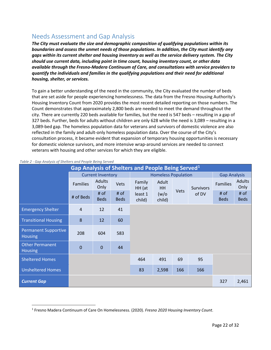# <span id="page-21-0"></span>Needs Assessment and Gap Analysis

*The City must evaluate the size and demographic composition of qualifying populations within its boundaries and assess the unmet needs of those populations. In addition, the City must identify any gaps within its current shelter and housing inventory as well as the service delivery system. The City should use current data, including point in time count, housing inventory count, or other data available through the Fresno-Madera Continuum of Care, and consultations with service providers to quantify the individuals and families in the qualifying populations and their need for additional housing, shelter, or services.*

To gain a better understanding of the need in the community, the City evaluated the number of beds that are set aside for people experiencing homelessness. The data from the Fresno Housing Authority's Housing Inventory Count from 2020 provides the most recent detailed reporting on those numbers. The Count demonstrates that approximately 2,800 beds are needed to meet the demand throughout the city. There are currently 220 beds available for families, but the need is 547 beds – resulting in a gap of 327 beds. Further, beds for adults without children are only 628 while the need is 3,089 – resulting in a 3,089-bed gap. The homeless population data for veterans and survivors of domestic violence are also reflected in the family and adult-only homeless population data. Over the course of the City's consultation process, it became evident that expansion of temporary housing opportunities is necessary for domestic violence survivors, and more intensive wrap-around services are needed to connect veterans with housing and other services for which they are eligible.

| <b>Gap Analysis of Shelters and People Being Served1</b> |                          |                       |                     |                            |                    |      |                  |                     |                     |
|----------------------------------------------------------|--------------------------|-----------------------|---------------------|----------------------------|--------------------|------|------------------|---------------------|---------------------|
|                                                          | <b>Current Inventory</b> |                       |                     | <b>Homeless Population</b> |                    |      |                  | <b>Gap Analysis</b> |                     |
|                                                          | <b>Families</b>          | <b>Adults</b><br>Only | Vets                | Family<br>HH (at           | Adult<br><b>HH</b> |      | <b>Survivors</b> | <b>Families</b>     | Adults<br>Only      |
|                                                          | # of Beds                | # of<br><b>Beds</b>   | # of<br><b>Beds</b> | least 1<br>child)          | (w/o)<br>child)    | Vets | of DV            | # of<br><b>Beds</b> | # of<br><b>Beds</b> |
| <b>Emergency Shelter</b>                                 | $\overline{4}$           | 12                    | 41                  |                            |                    |      |                  |                     |                     |
| <b>Transitional Housing</b>                              | 8                        | 12                    | 60                  |                            |                    |      |                  |                     |                     |
| <b>Permanent Supportive</b><br><b>Housing</b>            | 208                      | 604                   | 583                 |                            |                    |      |                  |                     |                     |
| <b>Other Permanent</b><br><b>Housing</b>                 | $\mathbf 0$              | $\mathbf 0$           | 44                  |                            |                    |      |                  |                     |                     |
| <b>Sheltered Homes</b>                                   |                          |                       |                     | 464                        | 491                | 69   | 95               |                     |                     |
| <b>Unsheltered Homes</b>                                 |                          |                       |                     | 83                         | 2,598              | 166  | 166              |                     |                     |
| <b>Current Gap</b>                                       |                          |                       |                     |                            |                    |      |                  | 327                 | 2,461               |

#### *Table 2 - Gap Analysis of Shelters and People Being Served*

<span id="page-21-1"></span> <sup>1</sup> Fresno Madera Continuum of Care On Homelessness. (2020). *Fresno 2020 Housing Inventory Count*.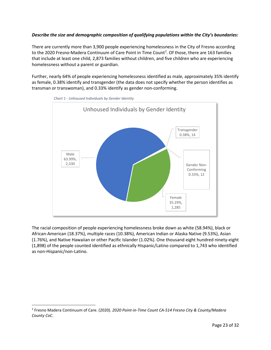# *Describe the size and demographic composition of qualifying populations within the City's boundaries:*

There are currently more than 3,900 people experiencing homelessness in the City of Fresno according to the [2](#page-22-0)020 Fresno-Madera Continuum of Care Point in Time Count<sup>2</sup>. Of those, there are 163 families that include at least one child, 2,873 families without children, and five children who are experiencing homelessness without a parent or guardian.

Further, nearly 64% of people experiencing homelessness identified as male, approximately 35% identify as female, 0.38% identify and transgender (the data does not specify whether the person identifies as transman or transwoman), and 0.33% identify as gender non-conforming.





The racial composition of people experiencing homelessness broke down as white (58.94%), black or African-American (18.37%), multiple races (10.38%), American Indian or Alaska Native (9.53%), Asian (1.76%), and Native Hawaiian or other Pacific Islander (1.02%). One thousand eight hundred ninety-eight (1,898) of the people counted identified as ethnically Hispanic/Latino compared to 1,743 who identified as non-Hispanic/non-Latino.

<span id="page-22-0"></span> <sup>2</sup> Fresno Madera Continuum of Care. (2020). *2020 Point-in-Time Count CA-514 Fresno City & County/Madera County CoC*.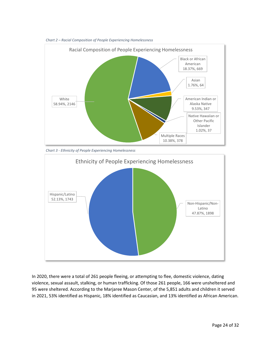

*Chart 2 – Racial Composition of People Experiencing Homelessness*

*Chart 3 - Ethnicity of People Experiencing Homelessness*



In 2020, there were a total of 261 people fleeing, or attempting to flee, domestic violence, dating violence, sexual assault, stalking, or human trafficking. Of those 261 people, 166 were unsheltered and 95 were sheltered. According to the Marjaree Mason Center, of the 5,851 adults and children it served in 2021, 53% identified as Hispanic, 18% identified as Caucasian, and 13% identified as African American.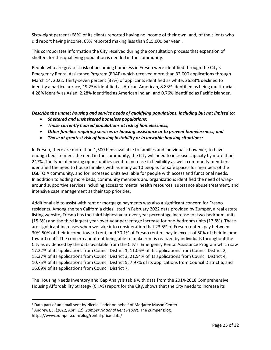Sixty-eight percent (68%) of its clients reported having no income of their own, and, of the clients who did report having income, 6[3](#page-24-0)% reported making less than \$15,000 per year<sup>3</sup>.

This corroborates information the City received during the consultation process that expansion of shelters for this qualifying population is needed in the community.

People who are greatest risk of becoming homeless in Fresno were identified through the City's Emergency Rental Assistance Program (ERAP) which received more than 32,000 applications through March 14, 2022. Thirty-seven percent (37%) of applicants identified as white, 26.83% declined to identify a particular race, 19.25% identified as African-American, 8.83% identified as being multi-racial, 4.28% identify as Asian, 2.28% identified as American Indian, and 0.76% identified as Pacific Islander.

# *Describe the unmet housing and service needs of qualifying populations, including but not limited to:*

- *Sheltered and unsheltered homeless populations;*
- *Those currently housed populations at risk of homelessness;*
- *Other families requiring services or housing assistance or to prevent homelessness; and*
- *Those at greatest risk of housing instability or in unstable housing situations:*

In Fresno, there are more than 1,500 beds available to families and individuals; however, to have enough beds to meet the need in the community, the City will need to increase capacity by more than 247%. The type of housing opportunities need to increase in flexibility as well; community members identified the need to house families with as many as 10 people, for safe spaces for members of the LGBTQIA community, and for increased units available for people with access and functional needs. In addition to adding more beds, community members and organizations identified the need of wraparound supportive services including access to mental health resources, substance abuse treatment, and intensive case management as their top priorities.

Additional aid to assist with rent or mortgage payments was also a significant concern for Fresno residents. Among the ten California cities listed in February 2022 data provided by Zumper, a real estate listing website, Fresno has the third highest year-over-year percentage increase for two-bedroom units (15.3%) and the third largest year-over-year percentage increase for one-bedroom units (17.8%). These are significant increases when we take into consideration that 23.5% of Fresno renters pay between 30%-50% of their income toward rent, and 30.1% of Fresno renters pay in excess of 50% of their income toward rent<sup>[4](#page-24-1)</sup>. The concern about not being able to make rent is realized by individuals throughout the City as evidenced by the data available from the City's Emergency Rental Assistance Program which saw 17.22% of its applications from Council District 1, 11.06% of its applications from Council District 2, 15.37% of its applications from Council District 3, 21.54% of its applications from Council District 4, 10.75% of its applications from Council District 5, 7.97% of its applications from Council District 6, and 16.09% of its applications from Council District 7.

The Housing Needs Inventory and Gap Analysis table with data from the 2014-2018 Comprehensive Housing Affordability Strategy (CHAS) report for the City, shows that the City needs to increase its

<span id="page-24-0"></span><sup>&</sup>lt;sup>3</sup> Data part of an email sent by Nicole Linder on behalf of Marjaree Mason Center

<span id="page-24-1"></span><sup>4</sup> Andrews, J. (2022, April 12). *Zumper National Rent Report*. The Zumper Blog. https://www.zumper.com/blog/rental-price-data/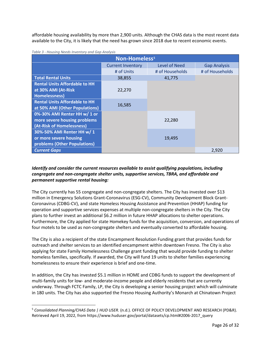affordable housing availability by more than 2,900 units. Although the CHAS data is the most recent data available to the City, it is likely that the need has grown since 2018 due to recent economic events.

| Non-Homeless <sup>5</sup>            |                          |                      |                     |  |  |
|--------------------------------------|--------------------------|----------------------|---------------------|--|--|
|                                      | <b>Current Inventory</b> | <b>Level of Need</b> | <b>Gap Analysis</b> |  |  |
|                                      | # of Units               | # of Households      | # of Households     |  |  |
| <b>Total Rental Units</b>            | 38,855                   | 41,775               |                     |  |  |
| <b>Rental Units Affordable to HH</b> |                          |                      |                     |  |  |
| at 30% AMI (At-Risk                  | 22,270                   |                      |                     |  |  |
| Homelessness)                        |                          |                      |                     |  |  |
| <b>Rental Units Affordable to HH</b> | 16,585                   |                      |                     |  |  |
| at 50% AMI (Other Populations)       |                          |                      |                     |  |  |
| 0%-30% AMI Renter HH w/ 1 or         |                          |                      |                     |  |  |
| more severe housing problems         |                          | 22,280               |                     |  |  |
| (At-Risk of Homelessness)            |                          |                      |                     |  |  |
| 30%-50% AMI Renter HH w/ 1           |                          |                      |                     |  |  |
| or more severe housing               |                          | 19,495               |                     |  |  |
| problems (Other Populations)         |                          |                      |                     |  |  |
| <b>Current Gaps</b>                  |                          |                      | 2,920               |  |  |

#### *Table 3 - Housing Needs Inventory and Gap Analysis*

# *Identify and consider the current resources available to assist qualifying populations, including congregate and non-congregate shelter units, supportive services, TBRA, and affordable and permanent supportive rental housing:*

The City currently has 55 congregate and non-congregate shelters. The City has invested over \$13 million in Emergency Solutions Grant-Coronavirus (ESG-CV), Community Development Block Grant-Coronavirus (CDBG-CV), and state Homeless Housing Assistance and Prevention (HHAP) funding for operation and supportive services expenses at multiple non-congregate shelters in the City. The City plans to further invest an additional \$6.2 million in future HHAP allocations to shelter operations. Furthermore, the City applied for state Homekey funds for the acquisition, conversion, and operations of four motels to be used as non-congregate shelters and eventually converted to affordable housing.

The City is also a recipient of the state Encampment Resolution Funding grant that provides funds for outreach and shelter services to an identified encampment within downtown Fresno. The City is also applying for state Family Homelessness Challenge grant funding that would provide funding to shelter homeless families, specifically. If awarded, the City will fund 19 units to shelter families experiencing homelessness to ensure their experience is brief and one-time.

In addition, the City has invested \$5.1 million in HOME and CDBG funds to support the development of multi-family units for low- and moderate-income people and elderly residents that are currently underway. Through FCTC Family, LP, the City is developing a senior housing project which will culminate in 180 units. The City has also supported the Fresno Housing Authority's Monarch at Chinatown Project

<span id="page-25-0"></span> <sup>5</sup> *Consolidated Planning/CHAS Data | HUD USER*. (n.d.). OFFICE OF POLICY DEVELOPMENT AND RESEARCH (PD&R). Retrieved April 19, 2022, from https://www.huduser.gov/portal/datasets/cp.html#2006-2017\_query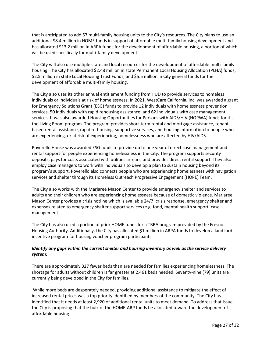that is anticipated to add 57 multi-family housing units to the City's resources. The City plans to use an additional \$8.4 million in HOME funds in support of affordable multi-family housing development and has allocated \$13.2 million in ARPA funds for the development of affordable housing, a portion of which will be used specifically for multi-family development.

The City will also use multiple state and local resources for the development of affordable multi-family housing. The City has allocated \$2.48 million in state Permanent Local Housing Allocation (PLHA) funds, \$2.5 million in state Local Housing Trust Funds, and \$5.5 million in City general funds for the development of affordable multi-family housing.

The City also uses its other annual entitlement funding from HUD to provide services to homeless individuals or individuals at risk of homelessness. In 2021, WestCare California, Inc. was awarded a grant for Emergency Solutions Grant (ESG) funds to provide 12 individuals with homelessness prevention services, 50 individuals with rapid rehousing assistance, and 62 individuals with case management services. It was also awarded Housing Opportunities for Persons with AIDS/HIV (HOPWA) funds for it's the Living Room program. The program provides short-term rental and mortgage assistance, tenantbased rental assistance, rapid re-housing, supportive services, and housing information to people who are experiencing, or at risk of experiencing, homelessness who are affected by HIV/AIDS.

Poverello House was awarded ESG funds to provide up to one year of direct case management and rental support for people experiencing homelessness in the City. The program supports security deposits, pays for costs associated with utilities arrears, and provides direct rental support. They also employ case managers to work with individuals to develop a plan to sustain housing beyond its program's support. Poverello also connects people who are experiencing homelessness with navigation services and shelter through its Homeless Outreach Progressive Engagement (HOPE) Team.

The City also works with the Marjaree Mason Center to provide emergency shelter and services to adults and their children who are experiencing homelessness because of domestic violence. Marjaree Mason Center provides a crisis hotline which is available 24/7, crisis response, emergency shelter and expenses related to emergency shelter support services (e.g. food, mental health support, case management).

The City has also used a portion of prior HOME funds for a TBRA program provided by the Fresno Housing Authority. Additionally, the City has allocated \$1 million in ARPA funds to develop a land lord incentive program for housing voucher program participants.

# *Identify any gaps within the current shelter and housing inventory as well as the service delivery system:*

There are approximately 327 fewer beds than are needed for families experiencing homelessness. The shortage for adults without children is far greater at 2,461 beds needed. Seventy-nine (79) units are currently being developed in the City for families.

While more beds are desperately needed, providing additional assistance to mitigate the effect of increased rental prices was a top priority identified by members of the community. The City has identified that it needs at least 2,920 of additional rental units to meet demand. To address that issue, the City is proposing that the bulk of the HOME-ARP funds be allocated toward the development of affordable housing.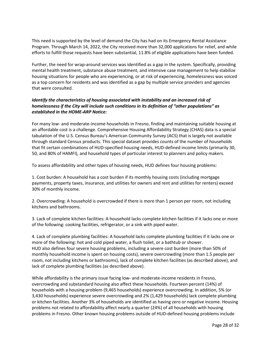This need is supported by the level of demand the City has had on its Emergency Rental Assistance Program. Through March 14, 2022, the City received more than 32,000 applications for relief, and while efforts to fulfill those requests have been substantial, 11.8% of eligible applications have been funded.

Further, the need for wrap-around services was identified as a gap in the system. Specifically, providing mental health treatment, substance abuse treatment, and intensive case management to help stabilize housing situations for people who are experiencing, or at risk of experiencing, homelessness was voiced as a top concern for residents and was identified as a gap by multiple service providers and agencies that were consulted.

# *Identify the characteristics of housing associated with instability and an increased risk of homelessness if the City will include such conditions in its definition of "other populations" as established in the HOME-ARP Notice:*

For many low- and moderate-income households in Fresno, finding and maintaining suitable housing at an affordable cost is a challenge. Comprehensive Housing Affordability Strategy (CHAS) data is a special tabulation of the U.S. Census Bureau's American Community Survey (ACS) that is largely not available through standard Census products. This special dataset provides counts of the number of households that fit certain combinations of HUD-specified housing needs, HUD-defined income limits (primarily 30, 50, and 80% of HAMFI), and household types of particular interest to planners and policy makers.

To assess affordability and other types of housing needs, HUD defines four housing problems:

1. Cost burden: A household has a cost burden if its monthly housing costs (including mortgage payments, property taxes, insurance, and utilities for owners and rent and utilities for renters) exceed 30% of monthly income.

2. Overcrowding: A household is overcrowded if there is more than 1 person per room, not including kitchens and bathrooms.

3. Lack of complete kitchen facilities: A household lacks complete kitchen facilities if it lacks one or more of the following: cooking facilities, refrigerator, or a sink with piped water.

4. Lack of complete plumbing facilities: A household lacks complete plumbing facilities if it lacks one or more of the following: hot and cold piped water, a flush toilet, or a bathtub or shower. HUD also defines four severe housing problems, including a severe cost burden (more than 50% of monthly household income is spent on housing costs), severe overcrowding (more than 1.5 people per room, not including kitchens or bathrooms), lack of complete kitchen facilities (as described above), and lack of complete plumbing facilities (as described above).

While affordability is the primary issue facing low- and moderate-income residents in Fresno, overcrowding and substandard housing also affect these households. Fourteen percent (14%) of households with a housing problem (9,465 households) experience overcrowding. In addition, 5% (or 3,430 households) experience severe overcrowding and 2% (1,429 households) lack complete plumbing or kitchen facilities. Another 3% of households are identified as having zero or negative income. Housing problems not related to affordability affect nearly a quarter (24%) of all households with housing problems in Fresno. Other known housing problems outside of HUD-defined housing problems include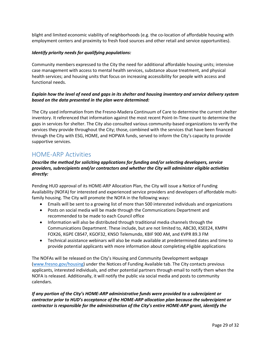blight and limited economic viability of neighborhoods (e.g. the co-location of affordable housing with employment centers and proximity to fresh food sources and other retail and service opportunities).

## *Identify priority needs for qualifying populations:*

Community members expressed to the City the need for additional affordable housing units; intensive case management with access to mental health services, substance abuse treatment, and physical health services; and housing units that focus on increasing accessibility for people with access and functional needs.

# *Explain how the level of need and gaps in its shelter and housing inventory and service delivery system based on the data presented in the plan were determined:*

The City used information from the Fresno-Madera Continuum of Care to determine the current shelter inventory. It referenced that information against the most recent Point-In-Time count to determine the gaps in services for shelter. The City also consulted various community-based organizations to verify the services they provide throughout the City; those, combined with the services that have been financed through the City with ESG, HOME, and HOPWA funds, served to inform the City's capacity to provide supportive services.

# <span id="page-28-0"></span>HOME-ARP Activities

# *Describe the method for soliciting applications for funding and/or selecting developers, service providers, subrecipients and/or contractors and whether the City will administer eligible activities directly:*

Pending HUD approval of its HOME-ARP Allocation Plan, the City will issue a Notice of Funding Availability (NOFA) for interested and experienced service providers and developers of affordable multifamily housing. The City will promote the NOFA in the following ways:

- Emails will be sent to a growing list of more than 500 interested individuals and organizations
- Posts on social media will be made through the Communications Department and recommended to be made to each Council office
- Information will also be distributed through traditional media channels through the Communications Department. These include, but are not limited to, ABC30, KSEE24, KMPH FOX26, KGPE CBS47, KGOF32, KNSO Telemundo, KBIF 900 AM, and KVPR 89.3 FM
- Technical assistance webinars will also be made available at predetermined dates and time to provide potential applicants with more information about completing eligible applications

The NOFAs will be released on the City's Housing and Community Development webpage [\(www.fresno.gov/housing\)](http://www.fresno.gov/housing) under the Notices of Funding Available tab. The City contacts previous applicants, interested individuals, and other potential partners through email to notify them when the NOFA is released. Additionally, it will notify the public via social media and posts to community calendars.

*If any portion of the City's HOME-ARP administrative funds were provided to a subrecipient or contractor prior to HUD's acceptance of the HOME-ARP allocation plan because the subrecipient or contractor is responsible for the administration of the City's entire HOME-ARP grant, identify the*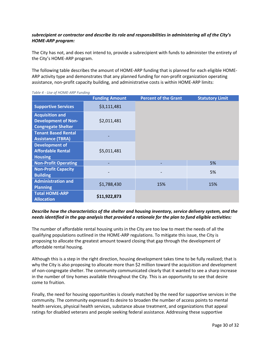# *subrecipient or contractor and describe its role and responsibilities in administering all of the City's HOME-ARP program:*

The City has not, and does not intend to, provide a subrecipient with funds to administer the entirety of the City's HOME-ARP program.

The following table describes the amount of HOME-ARP funding that is planned for each eligible HOME-ARP activity type and demonstrates that any planned funding for non-profit organization operating assistance, non-profit capacity building, and administrative costs is within HOME-ARP limits:

|                                                                                   | <b>Funding Amount</b> | <b>Percent of the Grant</b> | <b>Statutory Limit</b> |  |  |
|-----------------------------------------------------------------------------------|-----------------------|-----------------------------|------------------------|--|--|
| <b>Supportive Services</b>                                                        | \$3,111,481           |                             |                        |  |  |
| <b>Acquisition and</b><br><b>Development of Non-</b><br><b>Congregate Shelter</b> | \$2,011,481           |                             |                        |  |  |
| <b>Tenant Based Rental</b><br><b>Assistance (TBRA)</b>                            |                       |                             |                        |  |  |
| <b>Development of</b><br><b>Affordable Rental</b><br><b>Housing</b>               | \$5,011,481           |                             |                        |  |  |
| <b>Non-Profit Operating</b>                                                       |                       |                             | 5%                     |  |  |
| <b>Non-Profit Capacity</b><br><b>Building</b>                                     |                       |                             | 5%                     |  |  |
| <b>Administration and</b><br><b>Planning</b>                                      | \$1,788,430           | 15%                         | 15%                    |  |  |
| <b>Total HOME-ARP</b><br><b>Allocation</b>                                        | \$11,922,873          |                             |                        |  |  |

#### *Table 4 - Use of HOME-ARP Funding*

# *Describe how the characteristics of the shelter and housing inventory, service delivery system, and the needs identified in the gap analysis that provided a rationale for the plan to fund eligible activities:*

The number of affordable rental housing units in the City are too low to meet the needs of all the qualifying populations outlined in the HOME-ARP regulations. To mitigate this issue, the City is proposing to allocate the greatest amount toward closing that gap through the development of affordable rental housing.

Although this is a step in the right direction, housing development takes time to be fully realized; that is why the City is also proposing to allocate more than \$2 million toward the acquisition and development of non-congregate shelter. The community communicated clearly that it wanted to see a sharp increase in the number of tiny homes available throughout the City. This is an opportunity to see that desire come to fruition.

Finally, the need for housing opportunities is closely matched by the need for supportive services in the community. The community expressed its desire to broaden the number of access points to mental health services, physical health services, substance abuse treatment, and organizations that appeal ratings for disabled veterans and people seeking federal assistance. Addressing these supportive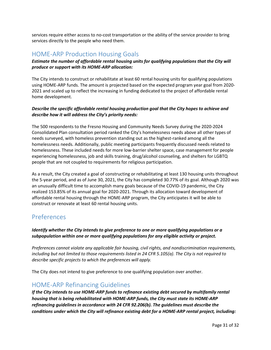services require either access to no-cost transportation or the ability of the service provider to bring services directly to the people who need them.

# <span id="page-30-0"></span>HOME-ARP Production Housing Goals

*Estimate the number of affordable rental housing units for qualifying populations that the City will produce or support with its HOME-ARP allocation:*

The City intends to construct or rehabilitate at least 60 rental housing units for qualifying populations using HOME-ARP funds. The amount is projected based on the expected program year goal from 2020- 2021 and scaled up to reflect the increasing in funding dedicated to the project of affordable rental home development.

# *Describe the specific affordable rental housing production goal that the City hopes to achieve and describe how it will address the City's priority needs:*

The 500 respondents to the Fresno Housing and Community Needs Survey during the 2020-2024 Consolidated Plan consultation period ranked the City's homelessness needs above all other types of needs surveyed, with homeless prevention standing out as the highest-ranked among all the homelessness needs. Additionally, public meeting participants frequently discussed needs related to homelessness. These included needs for more low-barrier shelter space, case management for people experiencing homelessness, job and skills training, drug/alcohol counseling, and shelters for LGBTQ people that are not coupled to requirements for religious participation.

As a result, the City created a goal of constructing or rehabilitating at least 130 housing units throughout the 5-year period, and as of June 30, 2021, the City has completed 30.77% of its goal. Although 2020 was an unusually difficult time to accomplish many goals because of the COVID-19 pandemic, the City realized 153.85% of its annual goal for 2020-2021. Through its allocation toward development of affordable rental housing through the HOME-ARP program, the City anticipates it will be able to construct or renovate at least 60 rental housing units.

# <span id="page-30-1"></span>Preferences

*Identify whether the City intends to give preference to one or more qualifying populations or a subpopulation within one or more qualifying populations for any eligible activity or project.*

*Preferences cannot violate any applicable fair housing, civil rights, and nondiscrimination requirements, including but not limited to those requirements listed in 24 CFR 5.105(a). The City is not required to describe specific projects to which the preferences will apply.*

The City does not intend to give preference to one qualifying population over another.

# <span id="page-30-2"></span>HOME-ARP Refinancing Guidelines

*If the City intends to use HOME-ARP funds to refinance existing debt secured by multifamily rental housing that is being rehabilitated with HOME-ARP funds, the City must state its HOME-ARP refinancing guidelines in accordance with 24 CFR 92.206(b). The guidelines must describe the conditions under which the City will refinance existing debt for a HOME-ARP rental project, including:*